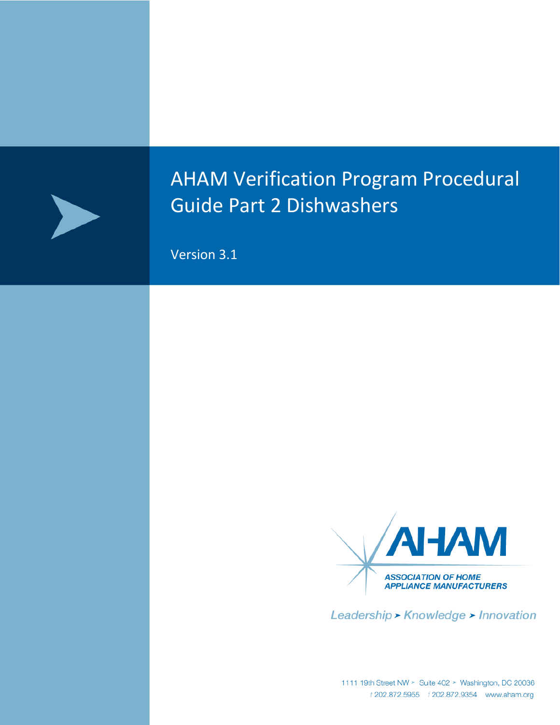

# AHAM Verification Program Procedural Guide Part 2 Dishwashers

Version 3.1



Leadership > Knowledge > Innovation

1111 19th Street NW > Suite 402 > Washington, DC 20036<br>*t* 202.872.5955 *f* 202.872.9354 www.aham.org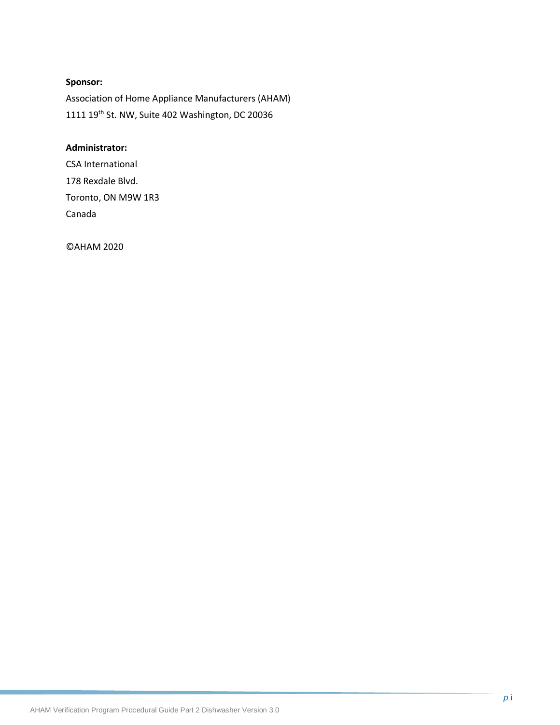## **Sponsor:**

Association of Home Appliance Manufacturers (AHAM) 1111 19th St. NW, Suite 402 Washington, DC 20036

#### **Administrator:**

CSA International 178 Rexdale Blvd. Toronto, ON M9W 1R3 Canada

©AHAM 2020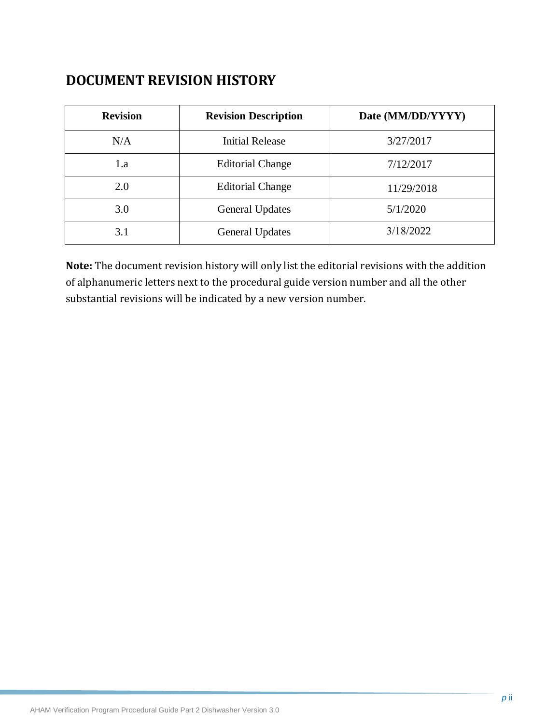## **DOCUMENT REVISION HISTORY**

| <b>Revision</b> | <b>Revision Description</b> | Date (MM/DD/YYYY) |
|-----------------|-----------------------------|-------------------|
| N/A             | <b>Initial Release</b>      | 3/27/2017         |
| 1.a             | <b>Editorial Change</b>     | 7/12/2017         |
| 2.0             | <b>Editorial Change</b>     | 11/29/2018        |
| 3.0             | <b>General Updates</b>      | 5/1/2020          |
| 3.1             | <b>General Updates</b>      | 3/18/2022         |

**Note:** The document revision history will only list the editorial revisions with the addition of alphanumeric letters next to the procedural guide version number and all the other substantial revisions will be indicated by a new version number.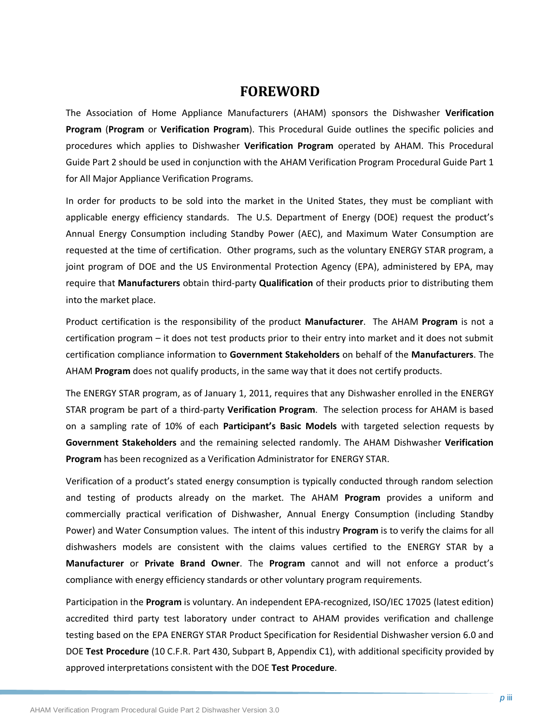## **FOREWORD**

The Association of Home Appliance Manufacturers (AHAM) sponsors the Dishwasher **Verification Program** (**Program** or **Verification Program**). This Procedural Guide outlines the specific policies and procedures which applies to Dishwasher **Verification Program** operated by AHAM. This Procedural Guide Part 2 should be used in conjunction with the AHAM Verification Program Procedural Guide Part 1 for All Major Appliance Verification Programs.

In order for products to be sold into the market in the United States, they must be compliant with applicable energy efficiency standards. The U.S. Department of Energy (DOE) request the product's Annual Energy Consumption including Standby Power (AEC), and Maximum Water Consumption are requested at the time of certification. Other programs, such as the voluntary ENERGY STAR program, a joint program of DOE and the US Environmental Protection Agency (EPA), administered by EPA, may require that **Manufacturers** obtain third-party **Qualification** of their products prior to distributing them into the market place.

Product certification is the responsibility of the product **Manufacturer**. The AHAM **Program** is not a certification program – it does not test products prior to their entry into market and it does not submit certification compliance information to **Government Stakeholders** on behalf of the **Manufacturers**. The AHAM **Program** does not qualify products, in the same way that it does not certify products.

The ENERGY STAR program, as of January 1, 2011, requires that any Dishwasher enrolled in the ENERGY STAR program be part of a third-party **Verification Program**. The selection process for AHAM is based on a sampling rate of 10% of each **Participant's Basic Models** with targeted selection requests by **Government Stakeholders** and the remaining selected randomly. The AHAM Dishwasher **Verification Program** has been recognized as a Verification Administrator for ENERGY STAR.

Verification of a product's stated energy consumption is typically conducted through random selection and testing of products already on the market. The AHAM **Program** provides a uniform and commercially practical verification of Dishwasher, Annual Energy Consumption (including Standby Power) and Water Consumption values. The intent of this industry **Program** is to verify the claims for all dishwashers models are consistent with the claims values certified to the ENERGY STAR by a **Manufacturer** or **Private Brand Owner**. The **Program** cannot and will not enforce a product's compliance with energy efficiency standards or other voluntary program requirements.

Participation in the **Program** is voluntary. An independent EPA-recognized, ISO/IEC 17025 (latest edition) accredited third party test laboratory under contract to AHAM provides verification and challenge testing based on the EPA ENERGY STAR Product Specification for Residential Dishwasher version 6.0 and DOE **Test Procedure** (10 C.F.R. Part 430, Subpart B, Appendix C1), with additional specificity provided by approved interpretations consistent with the DOE **Test Procedure**.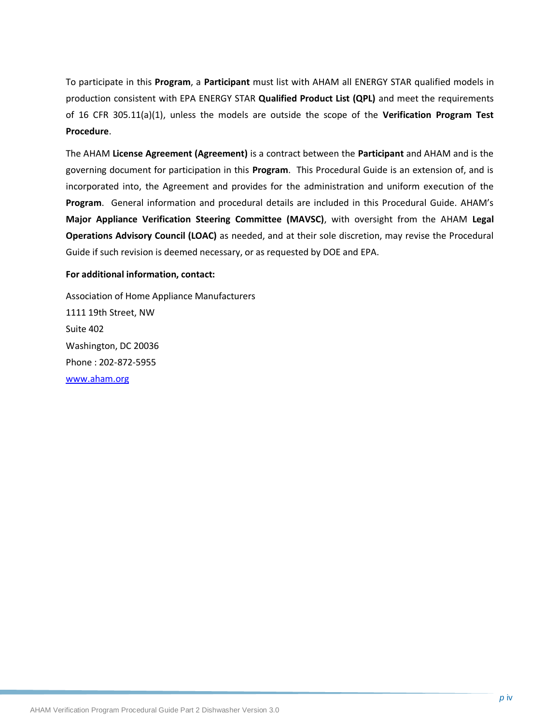To participate in this **Program**, a **Participant** must list with AHAM all ENERGY STAR qualified models in production consistent with EPA ENERGY STAR **Qualified Product List (QPL)** and meet the requirements of 16 CFR 305.11(a)(1), unless the models are outside the scope of the **Verification Program Test Procedure**.

The AHAM **License Agreement (Agreement)** is a contract between the **Participant** and AHAM and is the governing document for participation in this **Program**. This Procedural Guide is an extension of, and is incorporated into, the Agreement and provides for the administration and uniform execution of the **Program**. General information and procedural details are included in this Procedural Guide. AHAM's **Major Appliance Verification Steering Committee (MAVSC)**, with oversight from the AHAM **Legal Operations Advisory Council (LOAC)** as needed, and at their sole discretion, may revise the Procedural Guide if such revision is deemed necessary, or as requested by DOE and EPA.

#### **For additional information, contact:**

Association of Home Appliance Manufacturers 1111 19th Street, NW Suite 402 Washington, DC 20036 Phone : 202-872-5955 [www.aham.org](http://www.info.org/)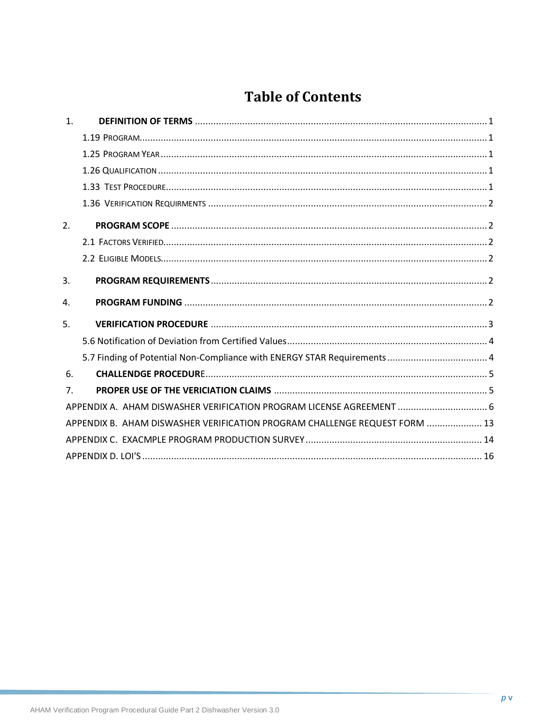## **Table of Contents**

| $\mathbf{1}$ . |                                                                            |  |
|----------------|----------------------------------------------------------------------------|--|
|                |                                                                            |  |
|                |                                                                            |  |
|                |                                                                            |  |
|                |                                                                            |  |
|                |                                                                            |  |
| 2.             |                                                                            |  |
|                |                                                                            |  |
|                |                                                                            |  |
| 3.             |                                                                            |  |
|                |                                                                            |  |
| 4.             |                                                                            |  |
| 5.             |                                                                            |  |
|                |                                                                            |  |
|                | 5.7 Finding of Potential Non-Compliance with ENERGY STAR Requirements  4   |  |
| 6.             |                                                                            |  |
| 7 <sub>1</sub> |                                                                            |  |
|                | APPENDIX A. AHAM DISWASHER VERIFICATION PROGRAM LICENSE AGREEMENT  6       |  |
|                | APPENDIX B. AHAM DISWASHER VERIFICATION PROGRAM CHALLENGE REQUEST FORM  13 |  |
|                |                                                                            |  |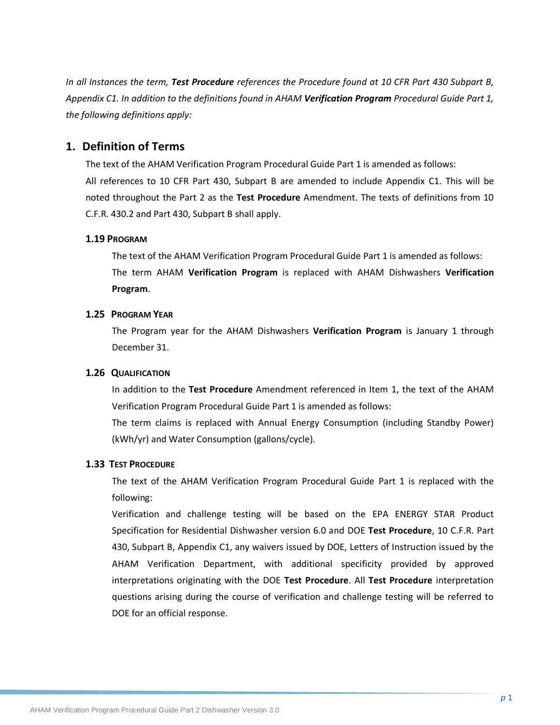*In all Instances the term, Test Procedure references the Procedure found at 10 CFR Part 430 Subpart B, Appendix C1. In addition to the definitions found in AHAM Verification Program Procedural Guide Part 1, the following definitions apply:*

## <span id="page-6-0"></span>**1. Definition of Terms**

The text of the AHAM Verification Program Procedural Guide Part 1 is amended as follows: All references to 10 CFR Part 430, Subpart B are amended to include Appendix C1. This will be noted throughout the Part 2 as the **Test Procedure** Amendment. The texts of definitions from 10 C.F.R. 430.2 and Part 430, Subpart B shall apply.

#### <span id="page-6-1"></span>**1.19 PROGRAM**

The text of the AHAM Verification Program Procedural Guide Part 1 is amended as follows: The term AHAM **Verification Program** is replaced with AHAM Dishwashers **Verification Program**.

#### **1.25 PROGRAM YEAR**

The Program year for the AHAM Dishwashers **Verification Program** is January 1 through December 31.

#### **1.26 QUALIFICATION**

In addition to the **Test Procedure** Amendment referenced in Item 1, the text of the AHAM Verification Program Procedural Guide Part 1 is amended as follows:

The term claims is replaced with Annual Energy Consumption (including Standby Power) (kWh/yr) and Water Consumption (gallons/cycle).

#### **1.33 TEST PROCEDURE**

The text of the AHAM Verification Program Procedural Guide Part 1 is replaced with the following:

Verification and challenge testing will be based on the EPA ENERGY STAR Product Specification for Residential Dishwasher version 6.0 and DOE **Test Procedure**, 10 C.F.R. Part 430, Subpart B, Appendix C1, any waivers issued by DOE, Letters of Instruction issued by the AHAM Verification Department, with additional specificity provided by approved interpretations originating with the DOE **Test Procedure**. All **Test Procedure** interpretation questions arising during the course of verification and challenge testing will be referred to DOE for an official response.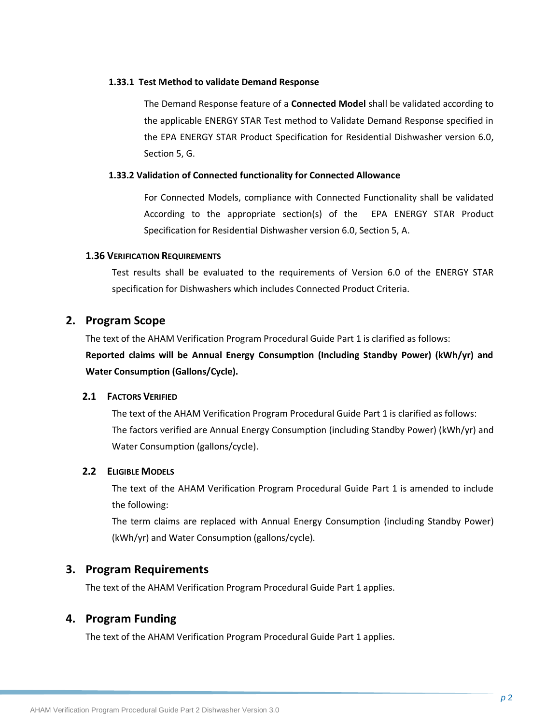#### **1.33.1 Test Method to validate Demand Response**

The Demand Response feature of a **Connected Model** shall be validated according to the applicable ENERGY STAR Test method to Validate Demand Response specified in the EPA ENERGY STAR Product Specification for Residential Dishwasher version 6.0, Section 5, G.

#### **1.33.2 Validation of Connected functionality for Connected Allowance**

For Connected Models, compliance with Connected Functionality shall be validated According to the appropriate section(s) of the EPA ENERGY STAR Product Specification for Residential Dishwasher version 6.0, Section 5, A.

#### <span id="page-7-0"></span>**1.36 VERIFICATION REQUIREMENTS**

Test results shall be evaluated to the requirements of Version 6.0 of the ENERGY STAR specification for Dishwashers which includes Connected Product Criteria.

#### **2. Program Scope**

The text of the AHAM Verification Program Procedural Guide Part 1 is clarified as follows: **Reported claims will be Annual Energy Consumption (Including Standby Power) (kWh/yr) and Water Consumption (Gallons/Cycle).** 

#### **2.1 FACTORS VERIFIED**

The text of the AHAM Verification Program Procedural Guide Part 1 is clarified as follows: The factors verified are Annual Energy Consumption (including Standby Power) (kWh/yr) and Water Consumption (gallons/cycle).

#### **2.2 ELIGIBLE MODELS**

The text of the AHAM Verification Program Procedural Guide Part 1 is amended to include the following:

The term claims are replaced with Annual Energy Consumption (including Standby Power) (kWh/yr) and Water Consumption (gallons/cycle).

#### <span id="page-7-1"></span>**3. Program Requirements**

The text of the AHAM Verification Program Procedural Guide Part 1 applies.

## <span id="page-7-2"></span>**4. Program Funding**

The text of the AHAM Verification Program Procedural Guide Part 1 applies.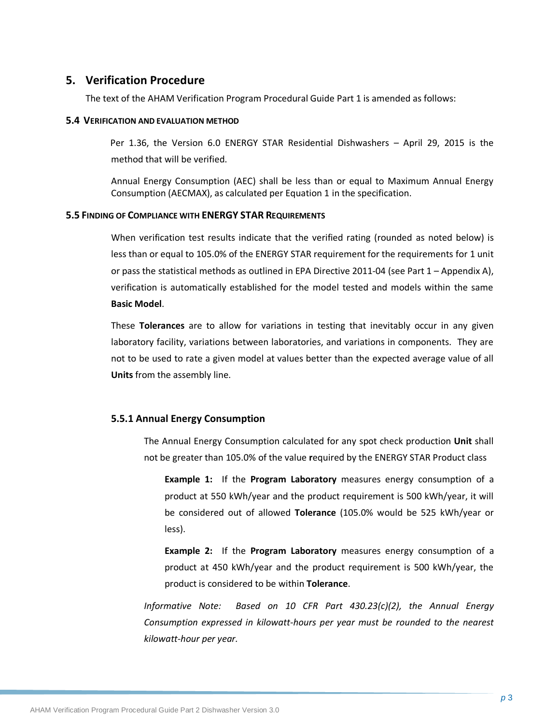## <span id="page-8-0"></span>**5. Verification Procedure**

The text of the AHAM Verification Program Procedural Guide Part 1 is amended as follows:

#### **5.4 VERIFICATION AND EVALUATION METHOD**

Per 1.36, the Version 6.0 ENERGY STAR Residential Dishwashers – April 29, 2015 is the method that will be verified.

Annual Energy Consumption (AEC) shall be less than or equal to Maximum Annual Energy Consumption (AECMAX), as calculated per Equation 1 in the specification.

#### **5.5 FINDING OF COMPLIANCE WITH ENERGY STAR REQUIREMENTS**

When verification test results indicate that the verified rating (rounded as noted below) is less than or equal to 105.0% of the ENERGY STAR requirement for the requirements for 1 unit or pass the statistical methods as outlined in EPA Directive 2011-04 (see Part 1 – Appendix A), verification is automatically established for the model tested and models within the same **Basic Model**.

These **Tolerances** are to allow for variations in testing that inevitably occur in any given laboratory facility, variations between laboratories, and variations in components. They are not to be used to rate a given model at values better than the expected average value of all **Units** from the assembly line.

#### **5.5.1 Annual Energy Consumption**

The Annual Energy Consumption calculated for any spot check production **Unit** shall not be greater than 105.0% of the value **r**equired by the ENERGY STAR Product class

**Example 1:** If the **Program Laboratory** measures energy consumption of a product at 550 kWh/year and the product requirement is 500 kWh/year, it will be considered out of allowed **Tolerance** (105.0% would be 525 kWh/year or less).

**Example 2:** If the **Program Laboratory** measures energy consumption of a product at 450 kWh/year and the product requirement is 500 kWh/year, the product is considered to be within **Tolerance**.

*Informative Note: Based on 10 CFR Part 430.23(c)(2), the Annual Energy Consumption expressed in kilowatt-hours per year must be rounded to the nearest kilowatt-hour per year.*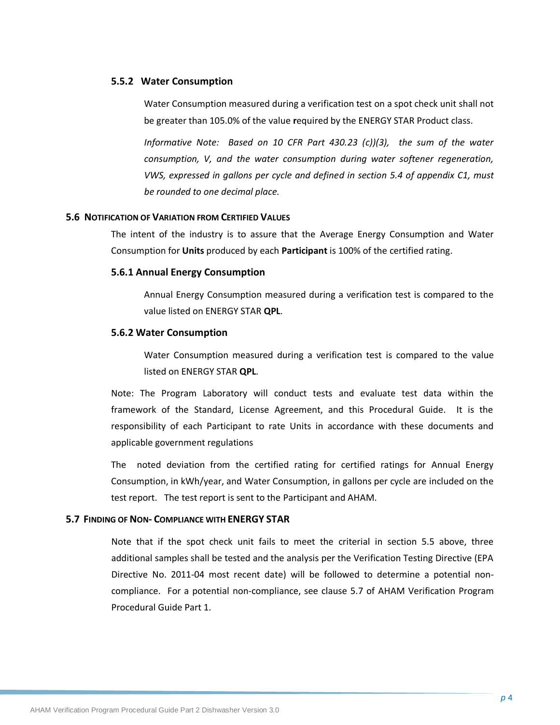#### **5.5.2 Water Consumption**

Water Consumption measured during a verification test on a spot check unit shall not be greater than 105.0% of the value **r**equired by the ENERGY STAR Product class.

*Informative Note: Based on 10 CFR Part 430.23 (c))(3), the sum of the water consumption, V, and the water consumption during water softener regeneration, VWS, expressed in gallons per cycle and defined in section 5.4 of appendix C1, must be rounded to one decimal place.*

#### **5.6 NOTIFICATION OF VARIATION FROM CERTIFIED VALUES**

The intent of the industry is to assure that the Average Energy Consumption and Water Consumption for **Units** produced by each **Participant** is 100% of the certified rating.

#### **5.6.1 Annual Energy Consumption**

Annual Energy Consumption measured during a verification test is compared to the value listed on ENERGY STAR **QPL**.

#### **5.6.2 Water Consumption**

Water Consumption measured during a verification test is compared to the value listed on ENERGY STAR **QPL**.

Note: The Program Laboratory will conduct tests and evaluate test data within the framework of the Standard, License Agreement, and this Procedural Guide. It is the responsibility of each Participant to rate Units in accordance with these documents and applicable government regulations

The noted deviation from the certified rating for certified ratings for Annual Energy Consumption, in kWh/year, and Water Consumption, in gallons per cycle are included on the test report. The test report is sent to the Participant and AHAM.

#### **5.7 FINDING OF NON- COMPLIANCE WITH ENERGY STAR**

Note that if the spot check unit fails to meet the criterial in section 5.5 above, three additional samples shall be tested and the analysis per the Verification Testing Directive (EPA Directive No. 2011-04 most recent date) will be followed to determine a potential noncompliance. For a potential non-compliance, see clause 5.7 of AHAM Verification Program Procedural Guide Part 1.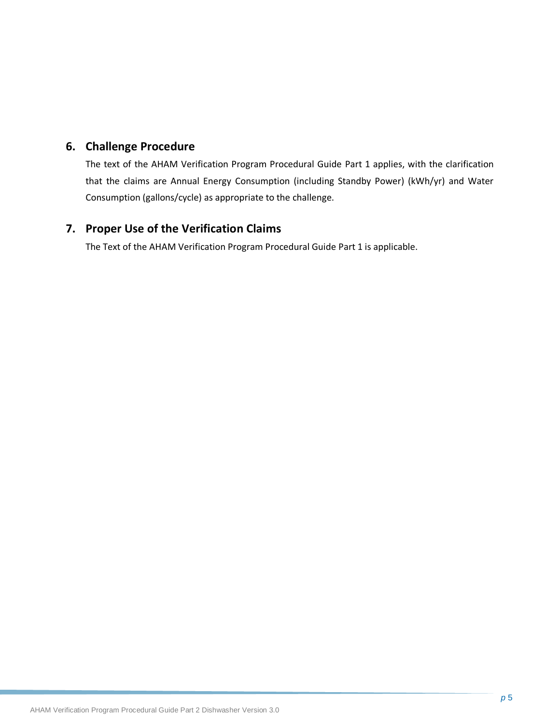## **6. Challenge Procedure**

The text of the AHAM Verification Program Procedural Guide Part 1 applies, with the clarification that the claims are Annual Energy Consumption (including Standby Power) (kWh/yr) and Water Consumption (gallons/cycle) as appropriate to the challenge.

## **7. Proper Use of the Verification Claims**

The Text of the AHAM Verification Program Procedural Guide Part 1 is applicable.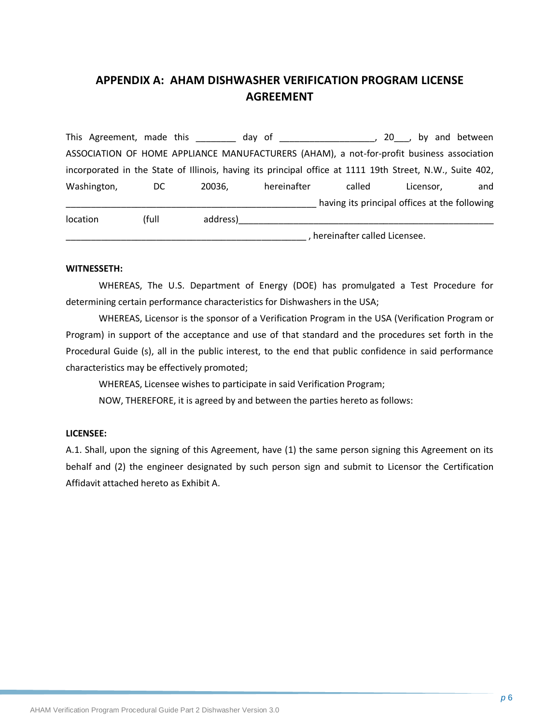## **APPENDIX A: AHAM DISHWASHER VERIFICATION PROGRAM LICENSE AGREEMENT**

This Agreement, made this this day of this allows the set of the set of the set of the set of the set of the s ASSOCIATION OF HOME APPLIANCE MANUFACTURERS (AHAM), a not-for-profit business association incorporated in the State of Illinois, having its principal office at 1111 19th Street, N.W., Suite 402, Washington, DC 20036, hereinafter called Licensor, and \_\_\_\_\_\_\_\_\_\_\_\_\_\_\_\_\_\_\_\_\_\_\_\_\_\_\_\_\_\_\_\_\_\_\_\_\_\_\_\_\_\_\_\_\_\_\_\_\_\_ having its principal offices at the following location (full address) and the case of the matrix of the matrix of the matrix of the matrix of the matrix of

\_\_\_\_\_\_\_\_\_\_\_\_\_\_\_\_\_\_\_\_\_\_\_\_\_\_\_\_\_\_\_\_\_\_\_\_\_\_\_\_\_\_\_\_\_\_\_\_ , hereinafter called Licensee.

#### **WITNESSETH:**

WHEREAS, The U.S. Department of Energy (DOE) has promulgated a Test Procedure for determining certain performance characteristics for Dishwashers in the USA;

WHEREAS, Licensor is the sponsor of a Verification Program in the USA (Verification Program or Program) in support of the acceptance and use of that standard and the procedures set forth in the Procedural Guide (s), all in the public interest, to the end that public confidence in said performance characteristics may be effectively promoted;

WHEREAS, Licensee wishes to participate in said Verification Program;

NOW, THEREFORE, it is agreed by and between the parties hereto as follows:

#### **LICENSEE:**

A.1. Shall, upon the signing of this Agreement, have (1) the same person signing this Agreement on its behalf and (2) the engineer designated by such person sign and submit to Licensor the Certification Affidavit attached hereto as Exhibit A.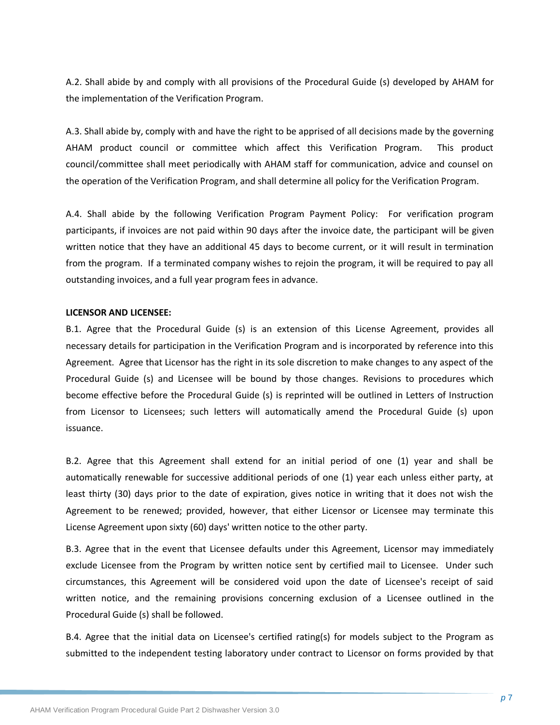A.2. Shall abide by and comply with all provisions of the Procedural Guide (s) developed by AHAM for the implementation of the Verification Program.

A.3. Shall abide by, comply with and have the right to be apprised of all decisions made by the governing AHAM product council or committee which affect this Verification Program. This product council/committee shall meet periodically with AHAM staff for communication, advice and counsel on the operation of the Verification Program, and shall determine all policy for the Verification Program.

A.4. Shall abide by the following Verification Program Payment Policy: For verification program participants, if invoices are not paid within 90 days after the invoice date, the participant will be given written notice that they have an additional 45 days to become current, or it will result in termination from the program. If a terminated company wishes to rejoin the program, it will be required to pay all outstanding invoices, and a full year program fees in advance.

#### **LICENSOR AND LICENSEE:**

B.1. Agree that the Procedural Guide (s) is an extension of this License Agreement, provides all necessary details for participation in the Verification Program and is incorporated by reference into this Agreement. Agree that Licensor has the right in its sole discretion to make changes to any aspect of the Procedural Guide (s) and Licensee will be bound by those changes. Revisions to procedures which become effective before the Procedural Guide (s) is reprinted will be outlined in Letters of Instruction from Licensor to Licensees; such letters will automatically amend the Procedural Guide (s) upon issuance.

B.2. Agree that this Agreement shall extend for an initial period of one (1) year and shall be automatically renewable for successive additional periods of one (1) year each unless either party, at least thirty (30) days prior to the date of expiration, gives notice in writing that it does not wish the Agreement to be renewed; provided, however, that either Licensor or Licensee may terminate this License Agreement upon sixty (60) days' written notice to the other party.

B.3. Agree that in the event that Licensee defaults under this Agreement, Licensor may immediately exclude Licensee from the Program by written notice sent by certified mail to Licensee. Under such circumstances, this Agreement will be considered void upon the date of Licensee's receipt of said written notice, and the remaining provisions concerning exclusion of a Licensee outlined in the Procedural Guide (s) shall be followed.

B.4. Agree that the initial data on Licensee's certified rating(s) for models subject to the Program as submitted to the independent testing laboratory under contract to Licensor on forms provided by that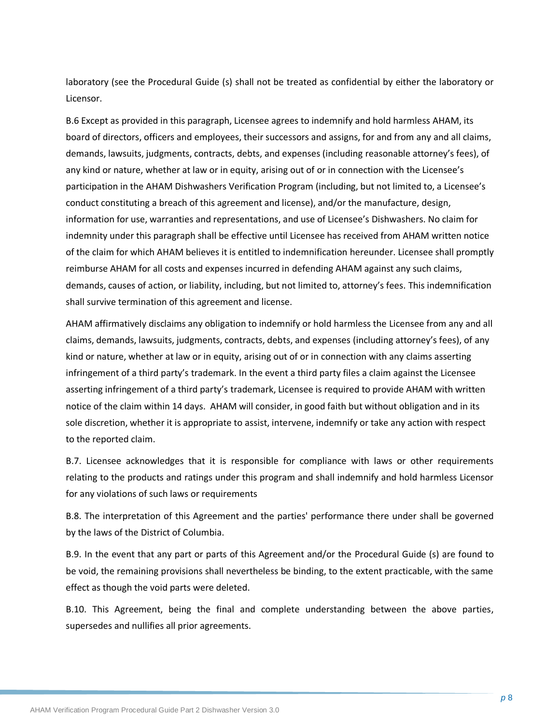laboratory (see the Procedural Guide (s) shall not be treated as confidential by either the laboratory or Licensor.

B.6 Except as provided in this paragraph, Licensee agrees to indemnify and hold harmless AHAM, its board of directors, officers and employees, their successors and assigns, for and from any and all claims, demands, lawsuits, judgments, contracts, debts, and expenses (including reasonable attorney's fees), of any kind or nature, whether at law or in equity, arising out of or in connection with the Licensee's participation in the AHAM Dishwashers Verification Program (including, but not limited to, a Licensee's conduct constituting a breach of this agreement and license), and/or the manufacture, design, information for use, warranties and representations, and use of Licensee's Dishwashers. No claim for indemnity under this paragraph shall be effective until Licensee has received from AHAM written notice of the claim for which AHAM believes it is entitled to indemnification hereunder. Licensee shall promptly reimburse AHAM for all costs and expenses incurred in defending AHAM against any such claims, demands, causes of action, or liability, including, but not limited to, attorney's fees. This indemnification shall survive termination of this agreement and license.

AHAM affirmatively disclaims any obligation to indemnify or hold harmless the Licensee from any and all claims, demands, lawsuits, judgments, contracts, debts, and expenses (including attorney's fees), of any kind or nature, whether at law or in equity, arising out of or in connection with any claims asserting infringement of a third party's trademark. In the event a third party files a claim against the Licensee asserting infringement of a third party's trademark, Licensee is required to provide AHAM with written notice of the claim within 14 days. AHAM will consider, in good faith but without obligation and in its sole discretion, whether it is appropriate to assist, intervene, indemnify or take any action with respect to the reported claim.

B.7. Licensee acknowledges that it is responsible for compliance with laws or other requirements relating to the products and ratings under this program and shall indemnify and hold harmless Licensor for any violations of such laws or requirements

B.8. The interpretation of this Agreement and the parties' performance there under shall be governed by the laws of the District of Columbia.

B.9. In the event that any part or parts of this Agreement and/or the Procedural Guide (s) are found to be void, the remaining provisions shall nevertheless be binding, to the extent practicable, with the same effect as though the void parts were deleted.

B.10. This Agreement, being the final and complete understanding between the above parties, supersedes and nullifies all prior agreements.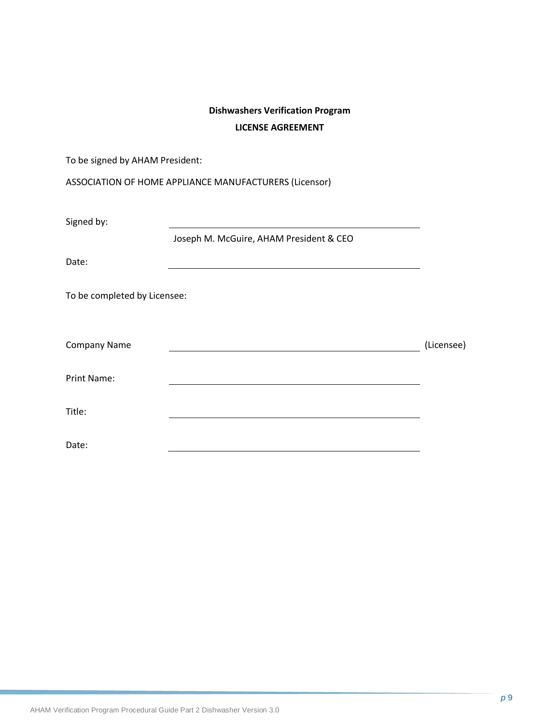## **Dishwashers Verification Program LICENSE AGREEMENT**

| To be signed by AHAM President: |                                                        |            |
|---------------------------------|--------------------------------------------------------|------------|
|                                 | ASSOCIATION OF HOME APPLIANCE MANUFACTURERS (Licensor) |            |
| Signed by:                      |                                                        |            |
| Date:                           | Joseph M. McGuire, AHAM President & CEO                |            |
| To be completed by Licensee:    |                                                        |            |
|                                 |                                                        |            |
| Company Name                    |                                                        | (Licensee) |
| Print Name:                     |                                                        |            |
| Title:                          |                                                        |            |
| Date:                           |                                                        |            |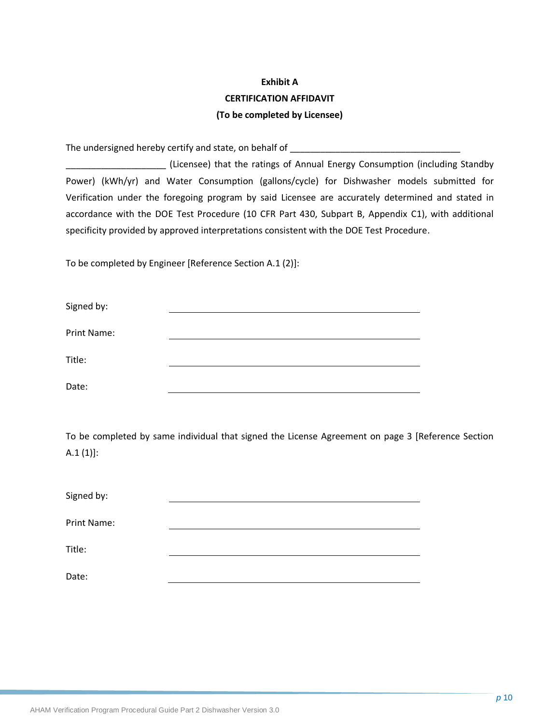## **Exhibit A CERTIFICATION AFFIDAVIT (To be completed by Licensee)**

The undersigned hereby certify and state, on behalf of \_\_\_\_\_\_\_\_\_\_\_\_\_\_\_\_\_\_\_\_\_\_\_\_\_

\_\_\_\_\_\_\_\_\_\_\_\_\_\_\_\_\_\_\_\_ (Licensee) that the ratings of Annual Energy Consumption (including Standby Power) (kWh/yr) and Water Consumption (gallons/cycle) for Dishwasher models submitted for Verification under the foregoing program by said Licensee are accurately determined and stated in accordance with the DOE Test Procedure (10 CFR Part 430, Subpart B, Appendix C1), with additional specificity provided by approved interpretations consistent with the DOE Test Procedure.

To be completed by Engineer [Reference Section A.1 (2)]:

| Signed by:  |  |
|-------------|--|
| Print Name: |  |
| Title:      |  |
| Date:       |  |

To be completed by same individual that signed the License Agreement on page 3 [Reference Section  $A.1 (1)$ :

| Signed by:         |  |
|--------------------|--|
| <b>Print Name:</b> |  |
|                    |  |
| Title:             |  |
|                    |  |
| Date:              |  |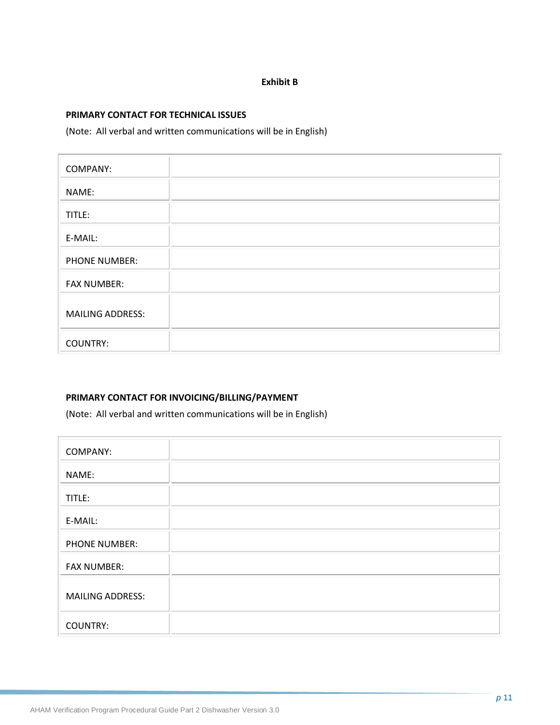#### **Exhibit B**

#### **PRIMARY CONTACT FOR TECHNICAL ISSUES**

(Note: All verbal and written communications will be in English)

| <b>COMPANY:</b>         |  |
|-------------------------|--|
| NAME:                   |  |
| TITLE:                  |  |
| E-MAIL:                 |  |
| PHONE NUMBER:           |  |
| <b>FAX NUMBER:</b>      |  |
| <b>MAILING ADDRESS:</b> |  |
| <b>COUNTRY:</b>         |  |

#### **PRIMARY CONTACT FOR INVOICING/BILLING/PAYMENT**

(Note: All verbal and written communications will be in English)

| <b>COMPANY:</b>         |  |
|-------------------------|--|
| NAME:                   |  |
| TITLE:                  |  |
| E-MAIL:                 |  |
| <b>PHONE NUMBER:</b>    |  |
| <b>FAX NUMBER:</b>      |  |
| <b>MAILING ADDRESS:</b> |  |
| <b>COUNTRY:</b>         |  |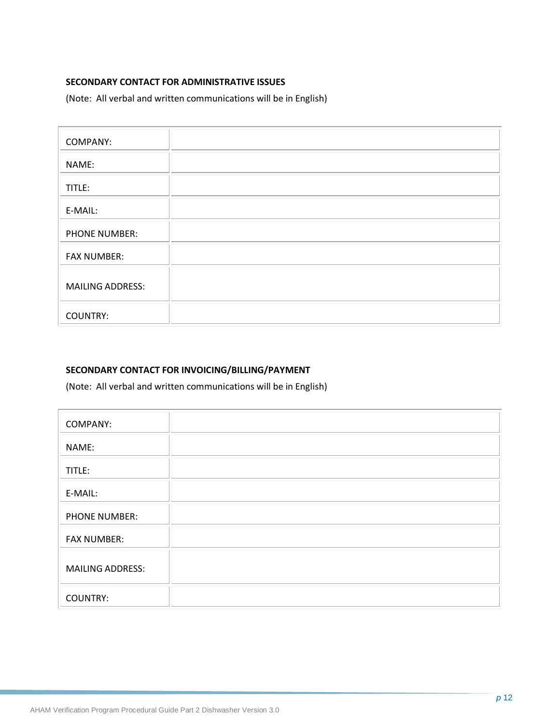#### **SECONDARY CONTACT FOR ADMINISTRATIVE ISSUES**

(Note: All verbal and written communications will be in English)

| <b>COMPANY:</b>         |  |
|-------------------------|--|
| NAME:                   |  |
| TITLE:                  |  |
| E-MAIL:                 |  |
| PHONE NUMBER:           |  |
| <b>FAX NUMBER:</b>      |  |
| <b>MAILING ADDRESS:</b> |  |
| <b>COUNTRY:</b>         |  |

## **SECONDARY CONTACT FOR INVOICING/BILLING/PAYMENT**

(Note: All verbal and written communications will be in English)

| <b>COMPANY:</b>         |  |
|-------------------------|--|
| NAME:                   |  |
| TITLE:                  |  |
| E-MAIL:                 |  |
| <b>PHONE NUMBER:</b>    |  |
| <b>FAX NUMBER:</b>      |  |
| <b>MAILING ADDRESS:</b> |  |
| <b>COUNTRY:</b>         |  |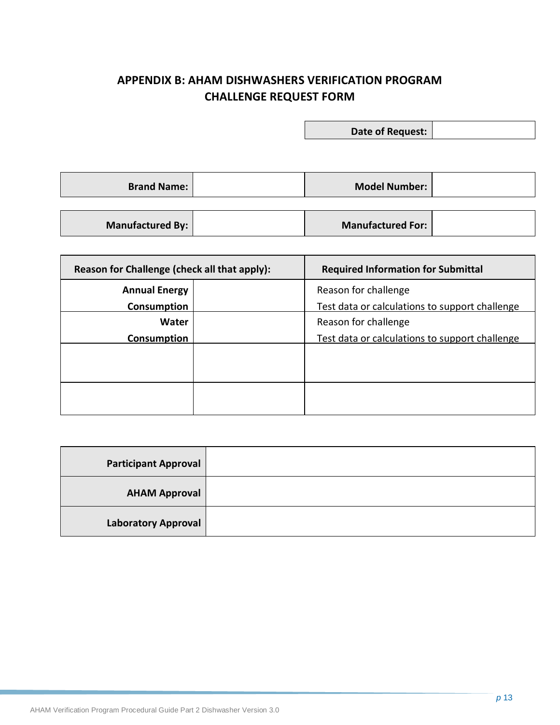## **APPENDIX B: AHAM DISHWASHERS VERIFICATION PROGRAM CHALLENGE REQUEST FORM**

**Date of Request:**

**Brand Name: Model Number: Model Number:** 

**Manufactured By: Manufactured For:** 

| Reason for Challenge (check all that apply): | <b>Required Information for Submittal</b>      |
|----------------------------------------------|------------------------------------------------|
| <b>Annual Energy</b>                         | Reason for challenge                           |
| Consumption                                  | Test data or calculations to support challenge |
| <b>Water</b>                                 | Reason for challenge                           |
| Consumption                                  | Test data or calculations to support challenge |
|                                              |                                                |
|                                              |                                                |
|                                              |                                                |
|                                              |                                                |

| <b>Participant Approval</b> |  |
|-----------------------------|--|
| <b>AHAM Approval</b>        |  |
| <b>Laboratory Approval</b>  |  |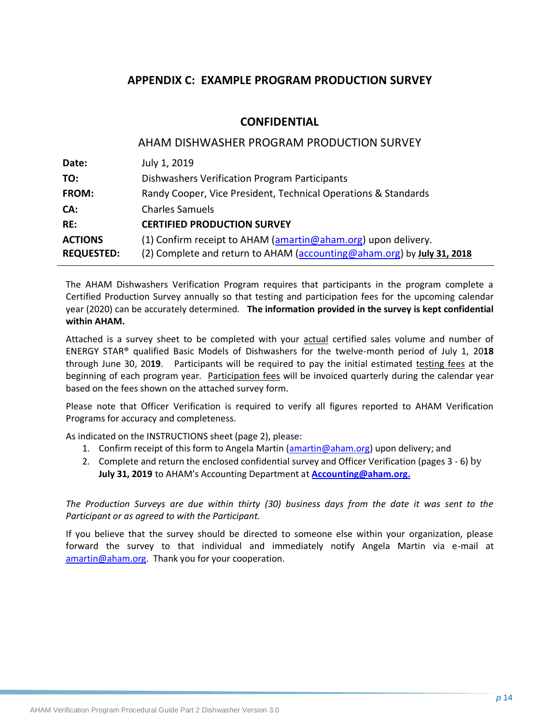## **APPENDIX C: EXAMPLE PROGRAM PRODUCTION SURVEY**

#### **CONFIDENTIAL**

|                   | AHAM DISHWASHER PROGRAM PRODUCTION SURVEY                              |
|-------------------|------------------------------------------------------------------------|
| Date:             | July 1, 2019                                                           |
| TO:               | <b>Dishwashers Verification Program Participants</b>                   |
| FROM:             | Randy Cooper, Vice President, Technical Operations & Standards         |
| CA:               | <b>Charles Samuels</b>                                                 |
| RE:               | <b>CERTIFIED PRODUCTION SURVEY</b>                                     |
| <b>ACTIONS</b>    | (1) Confirm receipt to AHAM (amartin@aham.org) upon delivery.          |
| <b>REQUESTED:</b> | (2) Complete and return to AHAM (accounting@aham.org) by July 31, 2018 |

The AHAM Dishwashers Verification Program requires that participants in the program complete a Certified Production Survey annually so that testing and participation fees for the upcoming calendar year (2020) can be accurately determined. **The information provided in the survey is kept confidential within AHAM.** 

Attached is a survey sheet to be completed with your actual certified sales volume and number of ENERGY STAR® qualified Basic Models of Dishwashers for the twelve-month period of July 1, 20**18** through June 30, 20**19**. Participants will be required to pay the initial estimated testing fees at the beginning of each program year. Participation fees will be invoiced quarterly during the calendar year based on the fees shown on the attached survey form.

Please note that Officer Verification is required to verify all figures reported to AHAM Verification Programs for accuracy and completeness.

As indicated on the INSTRUCTIONS sheet (page 2), please:

- 1. Confirm receipt of this form to Angela Martin [\(amartin@aham.org\)](mailto:jbibins@aham.org) upon delivery; and
- 2. Complete and return the enclosed confidential survey and Officer Verification (pages 3 6) by **July 31, 2019** to AHAM's Accounting Department at **[Accounting@aham.org.](mailto:Accounting@aham.org)**

*The Production Surveys are due within thirty (30) business days from the date it was sent to the Participant or as agreed to with the Participant.*

If you believe that the survey should be directed to someone else within your organization, please forward the survey to that individual and immediately notify Angela Martin via e-mail at [amartin@aham.org.](mailto:jbibins@aham.org) Thank you for your cooperation.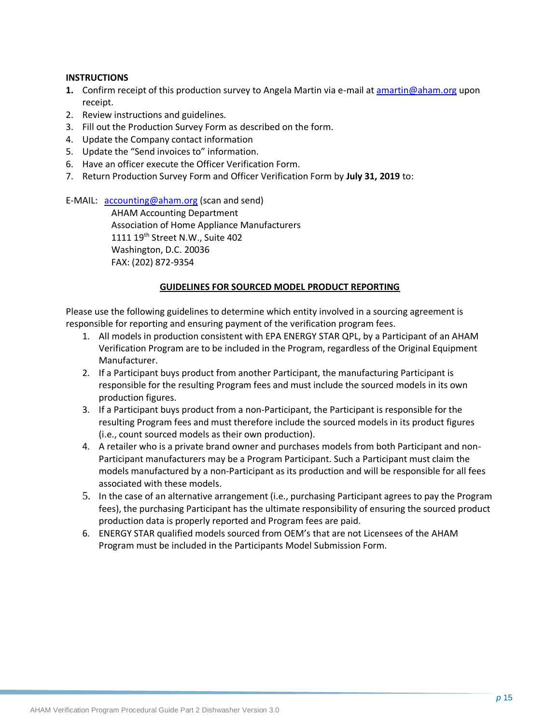#### **INSTRUCTIONS**

- **1.** Confirm receipt of this production survey to Angela Martin via e-mail a[t amartin@aham.org](mailto:jbibins@aham.org) upon receipt.
- 2. Review instructions and guidelines.
- 3. Fill out the Production Survey Form as described on the form.
- 4. Update the Company contact information
- 5. Update the "Send invoices to" information.
- 6. Have an officer execute the Officer Verification Form.
- 7. Return Production Survey Form and Officer Verification Form by **July 31, 2019** to:

E-MAIL: [accounting@aham.org](mailto:accounting@aham.org) (scan and send)

AHAM Accounting Department Association of Home Appliance Manufacturers 1111 19<sup>th</sup> Street N.W., Suite 402 Washington, D.C. 20036 FAX: (202) 872-9354

#### **GUIDELINES FOR SOURCED MODEL PRODUCT REPORTING**

Please use the following guidelines to determine which entity involved in a sourcing agreement is responsible for reporting and ensuring payment of the verification program fees.

- 1. All models in production consistent with EPA ENERGY STAR QPL, by a Participant of an AHAM Verification Program are to be included in the Program, regardless of the Original Equipment Manufacturer.
- 2. If a Participant buys product from another Participant, the manufacturing Participant is responsible for the resulting Program fees and must include the sourced models in its own production figures.
- 3. If a Participant buys product from a non-Participant, the Participant is responsible for the resulting Program fees and must therefore include the sourced models in its product figures (i.e., count sourced models as their own production).
- 4. A retailer who is a private brand owner and purchases models from both Participant and non-Participant manufacturers may be a Program Participant. Such a Participant must claim the models manufactured by a non-Participant as its production and will be responsible for all fees associated with these models.
- 5. In the case of an alternative arrangement (i.e., purchasing Participant agrees to pay the Program fees), the purchasing Participant has the ultimate responsibility of ensuring the sourced product production data is properly reported and Program fees are paid.
- 6. ENERGY STAR qualified models sourced from OEM's that are not Licensees of the AHAM Program must be included in the Participants Model Submission Form.